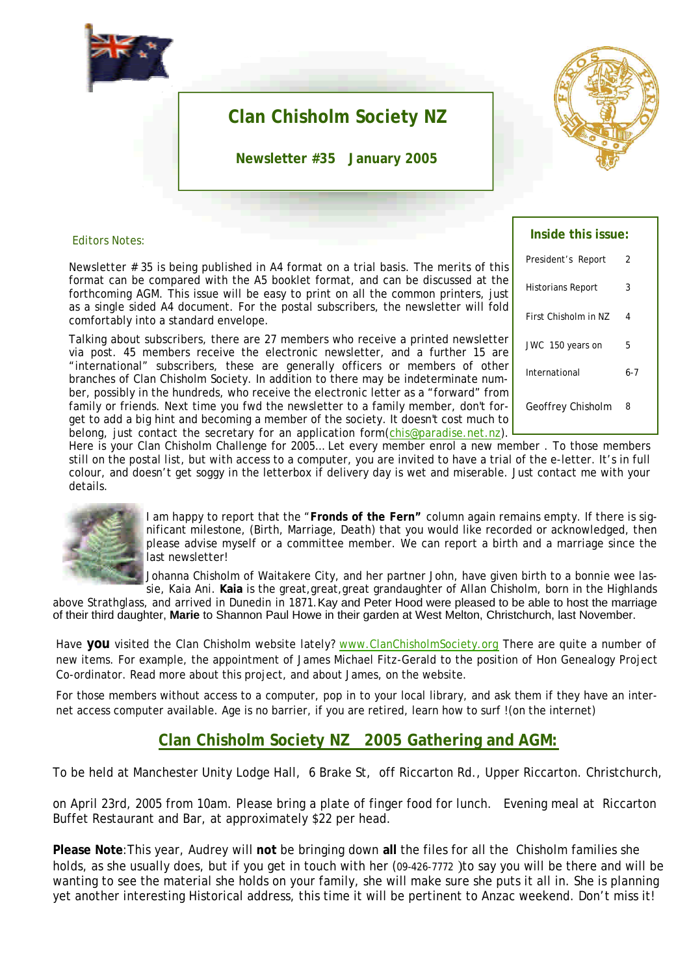

# **Clan Chisholm Society NZ**

**Newsletter #35 January 2005**



#### Editors Notes:

Newsletter # 35 is being published in A4 format on a trial basis. The merits of this format can be compared with the A5 booklet format, and can be discussed at the forthcoming AGM. This issue will be easy to print on all the common printers, just as a single sided A4 document. For the postal subscribers, the newsletter will fold comfortably into a standard envelope.

Talking about subscribers, there are 27 members who receive a printed newsletter via post. 45 members receive the electronic newsletter, and a further 15 are "international" subscribers, these are generally officers or members of other branches of Clan Chisholm Society. In addition to there may be indeterminate number, possibly in the hundreds, who receive the electronic letter as a "forward" from family or friends. Next time you fwd the newsletter to a family member, don't forget to add a big hint and becoming a member of the society. It doesn't cost much to belong, just contact the secretary for an application form(chis@paradise.net.nz).

| Inside this issue:   |     |
|----------------------|-----|
| President's Report   | 2   |
| Historians Report    | 3   |
| First Chisholm in NZ | 4   |
| JWC 150 years on     | 5   |
| International        | 6-7 |
| Geoffrey Chisholm    | 8   |

Here is your Clan Chisholm Challenge for 2005… Let every member enrol a new member . To those members still on the postal list, but with access to a computer, you are invited to have a trial of the e-letter. It's in full colour, and doesn't get soggy in the letterbox if delivery day is wet and miserable. Just contact me with your details.



I am happy to report that the "**Fronds of the Fern"** column again remains empty. If there is significant milestone, (Birth, Marriage, Death) that you would like recorded or acknowledged, then please advise myself or a committee member. We can report a birth and a marriage since the last newsletter!

Johanna Chisholm of Waitakere City, and her partner John, have given birth to a bonnie wee lassie, Kaia Ani. **Kaia** is the great,great,great grandaughter of Allan Chisholm, born in the Highlands

above Strathglass, and arrived in Dunedin in 1871.Kay and Peter Hood were pleased to be able to host the marriage of their third daughter, **Marie** to Shannon Paul Howe in their garden at West Melton, Christchurch, last November.

Have **you** visited the Clan Chisholm website lately? www.ClanChisholmSociety.org There are quite a number of new items. For example, the appointment of James Michael Fitz-Gerald to the position of Hon Genealogy Project Co-ordinator. Read more about this project, and about James, on the website.

For those members without access to a computer, pop in to your local library, and ask them if they have an internet access computer available. Age is no barrier, if you are retired, learn how to surf !(on the internet)

## **Clan Chisholm Society NZ 2005 Gathering and AGM:**

To be held at Manchester Unity Lodge Hall, 6 Brake St, off Riccarton Rd., Upper Riccarton. Christchurch,

on April 23rd, 2005 from 10am. Please bring a plate of finger food for lunch. Evening meal at Riccarton Buffet Restaurant and Bar, at approximately \$22 per head.

**Please Note**:This year, Audrey will **not** be bringing down **all** the files for all the Chisholm families she holds, as she usually does, but if you get in touch with her (09-426-7772 )to say you will be there and will be wanting to see the material she holds on your family, she will make sure she puts it all in. She is planning yet another interesting Historical address, this time it will be pertinent to Anzac weekend. Don't miss it!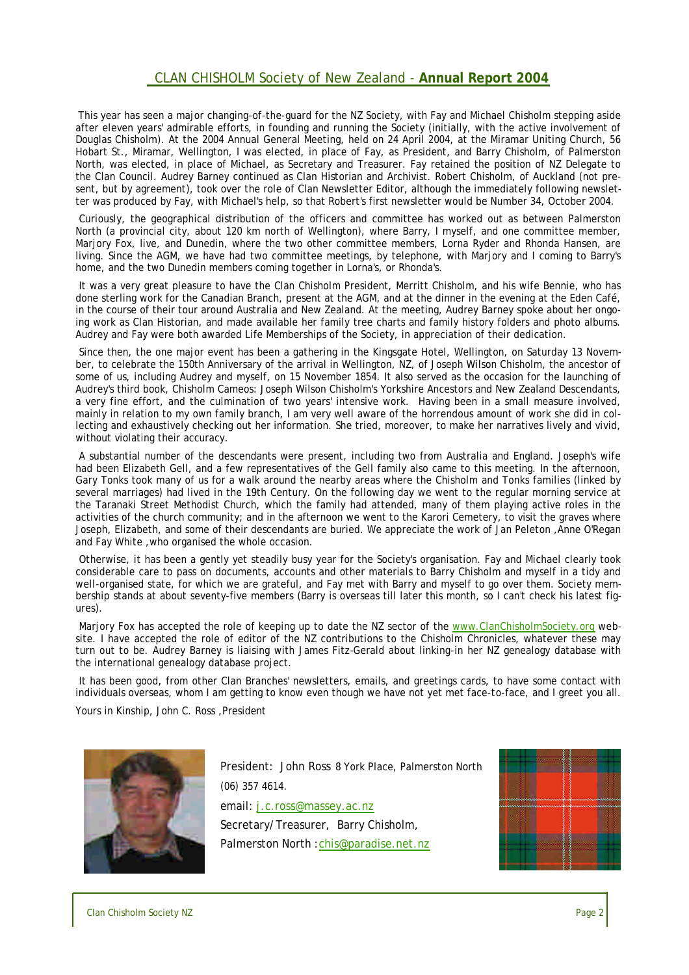### CLAN CHISHOLM Society of New Zealand - **Annual Report 2004**

This year has seen a major changing-of-the-guard for the NZ Society, with Fay and Michael Chisholm stepping aside after eleven years' admirable efforts, in founding and running the Society (initially, with the active involvement of Douglas Chisholm). At the 2004 Annual General Meeting, held on 24 April 2004, at the Miramar Uniting Church, 56 Hobart St., Miramar, Wellington, I was elected, in place of Fay, as President, and Barry Chisholm, of Palmerston North, was elected, in place of Michael, as Secretary and Treasurer. Fay retained the position of NZ Delegate to the Clan Council. Audrey Barney continued as Clan Historian and Archivist. Robert Chisholm, of Auckland (not present, but by agreement), took over the role of Clan Newsletter Editor, although the immediately following newsletter was produced by Fay, with Michael's help, so that Robert's first newsletter would be Number 34, October 2004.

Curiously, the geographical distribution of the officers and committee has worked out as between Palmerston North (a provincial city, about 120 km north of Wellington), where Barry, I myself, and one committee member, Marjory Fox, live, and Dunedin, where the two other committee members, Lorna Ryder and Rhonda Hansen, are living. Since the AGM, we have had two committee meetings, by telephone, with Marjory and I coming to Barry's home, and the two Dunedin members coming together in Lorna's, or Rhonda's.

It was a very great pleasure to have the Clan Chisholm President, Merritt Chisholm, and his wife Bennie, who has done sterling work for the Canadian Branch, present at the AGM, and at the dinner in the evening at the Eden Café, in the course of their tour around Australia and New Zealand. At the meeting, Audrey Barney spoke about her ongoing work as Clan Historian, and made available her family tree charts and family history folders and photo albums. Audrey and Fay were both awarded Life Memberships of the Society, in appreciation of their dedication.

Since then, the one major event has been a gathering in the Kingsgate Hotel, Wellington, on Saturday 13 November, to celebrate the 150th Anniversary of the arrival in Wellington, NZ, of Joseph Wilson Chisholm, the ancestor of some of us, including Audrey and myself, on 15 November 1854. It also served as the occasion for the launching of Audrey's third book, Chisholm Cameos: Joseph Wilson Chisholm's Yorkshire Ancestors and New Zealand Descendants, a very fine effort, and the culmination of two years' intensive work. Having been in a small measure involved, mainly in relation to my own family branch, I am very well aware of the horrendous amount of work she did in collecting and exhaustively checking out her information. She tried, moreover, to make her narratives lively and vivid, without violating their accuracy.

A substantial number of the descendants were present, including two from Australia and England. Joseph's wife had been Elizabeth Gell, and a few representatives of the Gell family also came to this meeting. In the afternoon, Gary Tonks took many of us for a walk around the nearby areas where the Chisholm and Tonks families (linked by several marriages) had lived in the 19th Century. On the following day we went to the regular morning service at the Taranaki Street Methodist Church, which the family had attended, many of them playing active roles in the activities of the church community; and in the afternoon we went to the Karori Cemetery, to visit the graves where Joseph, Elizabeth, and some of their descendants are buried. We appreciate the work of Jan Peleton ,Anne O'Regan and Fay White ,who organised the whole occasion.

Otherwise, it has been a gently yet steadily busy year for the Society's organisation. Fay and Michael clearly took considerable care to pass on documents, accounts and other materials to Barry Chisholm and myself in a tidy and well-organised state, for which we are grateful, and Fay met with Barry and myself to go over them. Society membership stands at about seventy-five members (Barry is overseas till later this month, so I can't check his latest figures).

Marjory Fox has accepted the role of keeping up to date the NZ sector of the www.ClanChisholmSociety.org website. I have accepted the role of editor of the NZ contributions to the Chisholm Chronicles, whatever these may turn out to be. Audrey Barney is liaising with James Fitz-Gerald about linking-in her NZ genealogy database with the international genealogy database project.

It has been good, from other Clan Branches' newsletters, emails, and greetings cards, to have some contact with individuals overseas, whom I am getting to know even though we have not yet met face-to-face, and I greet you all.

Yours in Kinship, John C. Ross ,President



President: John Ross 8 York Place, Palmerston North (06) 357 4614. email: j.c.ross@massey.ac.nz Secretary/Treasurer, Barry Chisholm, Palmerston North :chis@paradise.net.nz

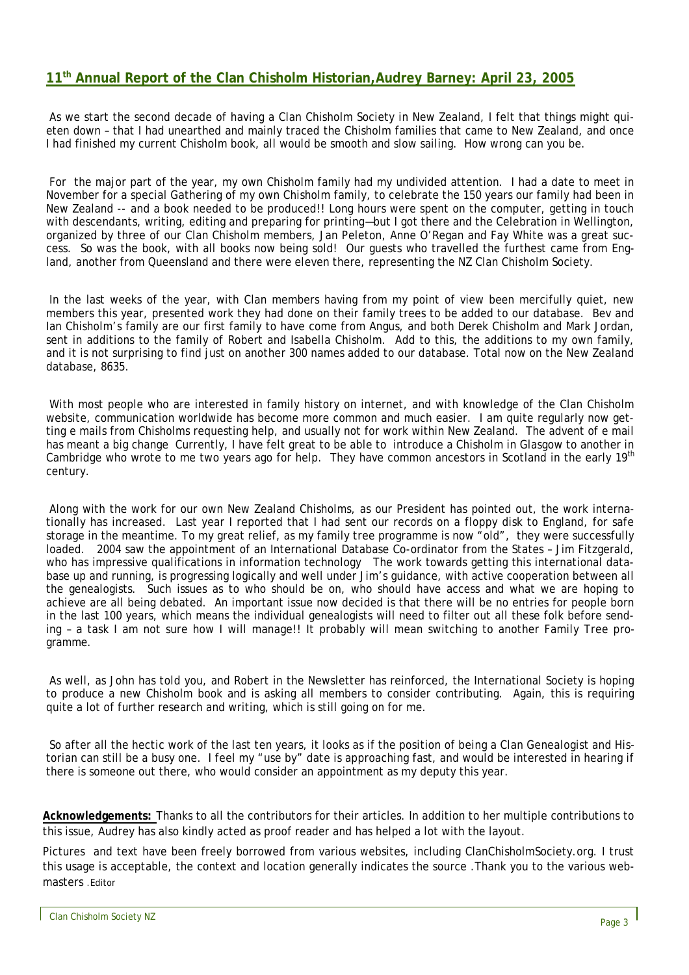### **11th Annual Report of the Clan Chisholm Historian,Audrey Barney: April 23, 2005**

As we start the second decade of having a Clan Chisholm Society in New Zealand, I felt that things might quieten down – that I had unearthed and mainly traced the Chisholm families that came to New Zealand, and once I had finished my current Chisholm book, all would be smooth and slow sailing. How wrong can you be.

For the major part of the year, my own Chisholm family had my undivided attention. I had a date to meet in November for a special Gathering of my own Chisholm family, to celebrate the 150 years our family had been in New Zealand -- and a book needed to be produced!! Long hours were spent on the computer, getting in touch with descendants, writing, editing and preparing for printing—but I got there and the Celebration in Wellington, organized by three of our Clan Chisholm members, Jan Peleton, Anne O'Regan and Fay White was a great success. So was the book, with all books now being sold! Our guests who travelled the furthest came from England, another from Queensland and there were eleven there, representing the NZ Clan Chisholm Society.

In the last weeks of the year, with Clan members having from my point of view been mercifully quiet, new members this year, presented work they had done on their family trees to be added to our database. Bev and Ian Chisholm's family are our first family to have come from Angus, and both Derek Chisholm and Mark Jordan, sent in additions to the family of Robert and Isabella Chisholm. Add to this, the additions to my own family, and it is not surprising to find just on another 300 names added to our database. Total now on the New Zealand database, 8635.

With most people who are interested in family history on internet, and with knowledge of the Clan Chisholm website, communication worldwide has become more common and much easier. I am quite regularly now getting e mails from Chisholms requesting help, and usually not for work within New Zealand. The advent of e mail has meant a big change Currently, I have felt great to be able to introduce a Chisholm in Glasgow to another in Cambridge who wrote to me two years ago for help. They have common ancestors in Scotland in the early 19<sup>th</sup> century.

Along with the work for our own New Zealand Chisholms, as our President has pointed out, the work internationally has increased. Last year I reported that I had sent our records on a floppy disk to England, for safe storage in the meantime. To my great relief, as my family tree programme is now "old", they were successfully loaded. 2004 saw the appointment of an International Database Co-ordinator from the States – Jim Fitzgerald, who has impressive qualifications in information technology The work towards getting this international database up and running, is progressing logically and well under Jim's guidance, with active cooperation between all the genealogists. Such issues as to who should be on, who should have access and what we are hoping to achieve are all being debated. An important issue now decided is that there will be no entries for people born in the last 100 years, which means the individual genealogists will need to filter out all these folk before sending – a task I am not sure how I will manage!! It probably will mean switching to another Family Tree programme.

As well, as John has told you, and Robert in the Newsletter has reinforced, the International Society is hoping to produce a new Chisholm book and is asking all members to consider contributing. Again, this is requiring quite a lot of further research and writing, which is still going on for me.

So after all the hectic work of the last ten years, it looks as if the position of being a Clan Genealogist and Historian can still be a busy one. I feel my "use by" date is approaching fast, and would be interested in hearing if there is someone out there, who would consider an appointment as my deputy this year.

**Acknowledgements:** Thanks to all the contributors for their articles. In addition to her multiple contributions to this issue, Audrey has also kindly acted as proof reader and has helped a lot with the layout.

Pictures and text have been freely borrowed from various websites, including ClanChisholmSociety.org. I trust this usage is acceptable, the context and location generally indicates the source .Thank you to the various webmasters .Editor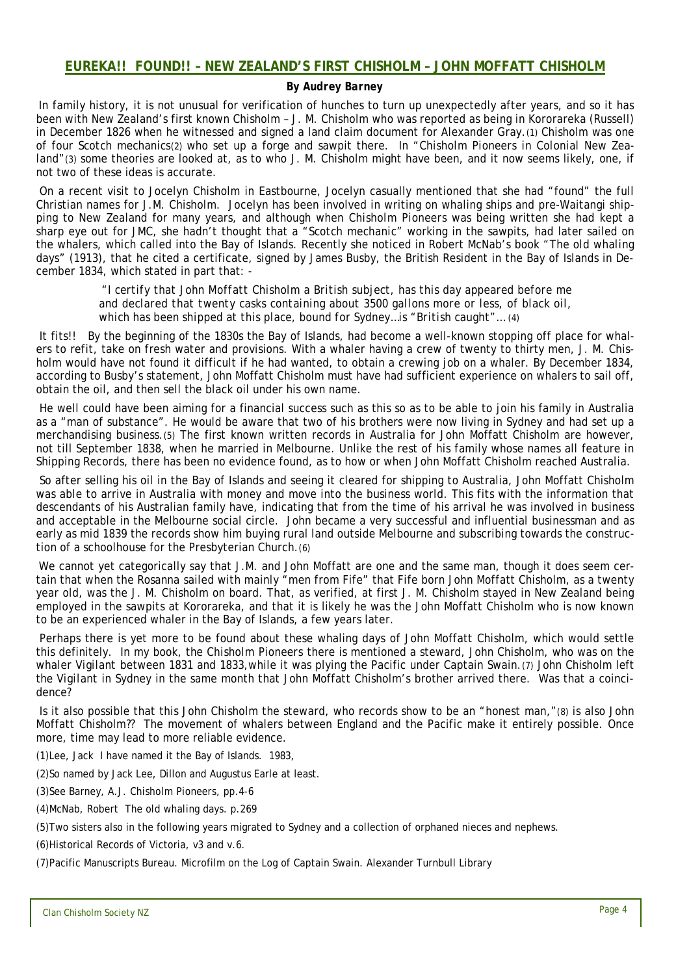### *By Audrey Barney*

In family history, it is not unusual for verification of hunches to turn up unexpectedly after years, and so it has been with New Zealand's first known Chisholm – J. M. Chisholm who was reported as being in Kororareka (Russell) in December 1826 when he witnessed and signed a land claim document for Alexander Gray.(1) Chisholm was one of four *Scotch mechanics*(2) who set up a forge and sawpit there. In "*Chisholm Pioneers in Colonial New Zealand"*(3) some theories are looked at, as to who J. M. Chisholm might have been, and it now seems likely, one, if not two of these ideas is accurate.

On a recent visit to Jocelyn Chisholm in Eastbourne, Jocelyn casually mentioned that she had "found" the full Christian names for J.M. Chisholm. Jocelyn has been involved in writing on whaling ships and pre-Waitangi shipping to New Zealand for many years, and although when *Chisholm Pioneers* was being written she had kept a sharp eye out for JMC, she hadn't thought that a "*Scotch mechanic*" working in the sawpits, had later sailed on the whalers, which called into the Bay of Islands. Recently she noticed in Robert McNab's book "*The old whaling days*" (1913), that he cited a certificate, signed by James Busby, the British Resident in the Bay of Islands in December 1834, which stated in part that: -

> *"I certify that John Moffatt Chisholm a British subject, has this day appeared before me and declared that twenty casks containing about 3500 gallons more or less, of black oil, which has been shipped at this place, bound for Sydney…is "British caught"…* (4)

It fits!! By the beginning of the 1830s the Bay of Islands, had become a well-known stopping off place for whalers to refit, take on fresh water and provisions. With a whaler having a crew of twenty to thirty men, J. M. Chisholm would have not found it difficult if he had wanted, to obtain a crewing job on a whaler. By December 1834, according to Busby's statement, John Moffatt Chisholm must have had sufficient experience on whalers to sail off, obtain the oil, and then sell the black oil under his own name.

He well could have been aiming for a financial success such as this so as to be able to join his family in Australia as a "man of substance". He would be aware that two of his brothers were now living in Sydney and had set up a merchandising business.(5) The first known written records in Australia for John Moffatt Chisholm are however, not till September 1838, when he married in Melbourne. Unlike the rest of his family whose names all feature in Shipping Records, there has been no evidence found, as to how or when John Moffatt Chisholm reached Australia.

So after selling his oil in the Bay of Islands and seeing it cleared for shipping to Australia, John Moffatt Chisholm was able to arrive in Australia with money and move into the business world. This fits with the information that descendants of his Australian family have, indicating that from the time of his arrival he was involved in business and acceptable in the Melbourne social circle. John became a very successful and influential businessman and as early as mid 1839 the records show him buying rural land outside Melbourne and subscribing towards the construction of a schoolhouse for the Presbyterian Church.(6)

We cannot yet categorically say that J.M. and John Moffatt are one and the same man, though it does seem certain that when the *Rosanna* sailed with mainly "men from Fife" that Fife born John Moffatt Chisholm, as a twenty year old, was the J. M. Chisholm on board. That, as verified, at first J. M. Chisholm stayed in New Zealand being employed in the sawpits at Kororareka, and that it is likely he was the John Moffatt Chisholm who is now known to be an experienced whaler in the Bay of Islands, a few years later.

Perhaps there is yet more to be found about these whaling days of John Moffatt Chisholm, which would settle this definitely. In my book, the *Chisholm Pioneers* there is mentioned a steward, John Chisholm, who was on the whaler *Vigilant* between 1831 and 1833,while it was plying the Pacific under Captain Swain.(7) John Chisholm left the *Vigilant* in Sydney in the same month that John Moffatt Chisholm's brother arrived there. Was that a coincidence*?* 

Is it also possible that this John Chisholm the steward, who records show to be an "*honest man,"*(8) is also John Moffatt Chisholm?? The movement of whalers between England and the Pacific make it entirely possible. Once more, time may lead to more reliable evidence.

(1)Lee, Jack I have named it the Bay of Islands. 1983,

(2)So named by Jack Lee, Dillon and Augustus Earle at least.

(3)See Barney, A.J. *Chisholm Pioneers*, pp.4-6

(4)McNab, Robert *The old whaling days*. p.269

(5)Two sisters also in the following years migrated to Sydney and a collection of orphaned nieces and nephews.

(6)Historical Records of Victoria, v3 and v.6.

(7)Pacific Manuscripts Bureau. Microfilm on the Log of Captain Swain. Alexander Turnbull Library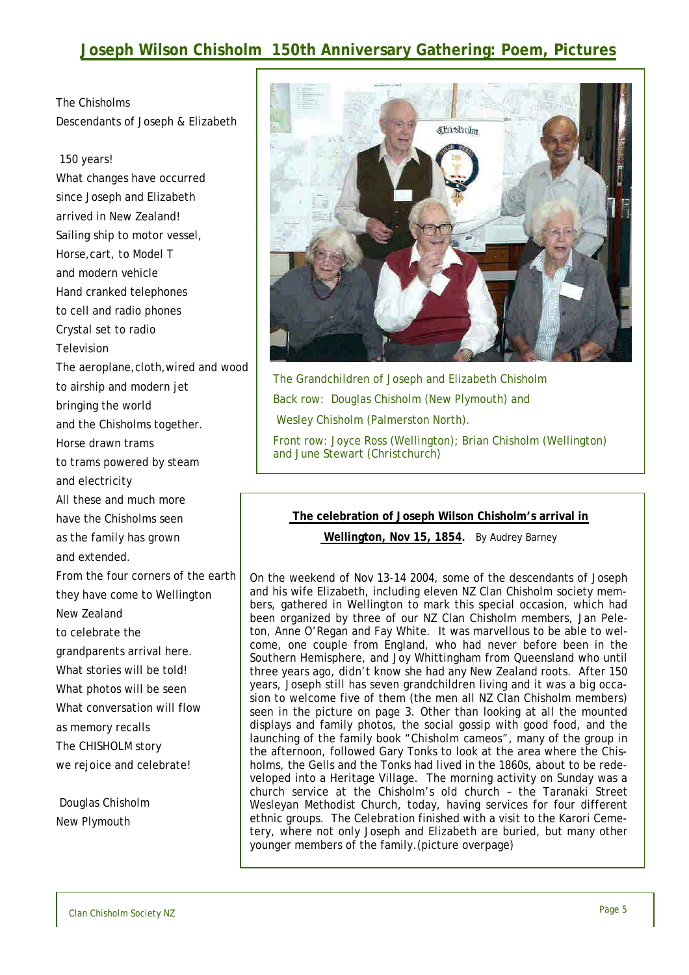## **Joseph Wilson Chisholm 150th Anniversary Gathering: Poem, Pictures**

The Chisholms Descendants of Joseph & Elizabeth

### 150 years!

What changes have occurred since Joseph and Elizabeth arrived in New Zealand! Sailing ship to motor vessel, Horse,cart, to Model T and modern vehicle Hand cranked telephones to cell and radio phones Crystal set to radio Television The aeroplane,cloth,wired and wood to airship and modern jet bringing the world and the Chisholms together. Horse drawn trams to trams powered by steam and electricity All these and much more have the Chisholms seen as the family has grown and extended. From the four corners of the earth they have come to Wellington New Zealand to celebrate the grandparents arrival here. What stories will be told! What photos will be seen What conversation will flow as memory recalls The CHISHOLM story we rejoice and celebrate!

Douglas Chisholm New Plymouth



The Grandchildren of Joseph and Elizabeth Chisholm Back row: Douglas Chisholm (New Plymouth) and Wesley Chisholm (Palmerston North).

Front row: Joyce Ross (Wellington); Brian Chisholm (Wellington) and June Stewart (Christchurch)

#### **The celebration of Joseph Wilson Chisholm's arrival in**

**Wellington, Nov 15, 1854.** By Audrey Barney

On the weekend of Nov 13-14 2004, some of the descendants of Joseph and his wife Elizabeth, including eleven NZ Clan Chisholm society members, gathered in Wellington to mark this special occasion, which had been organized by three of our NZ Clan Chisholm members, Jan Peleton, Anne O'Regan and Fay White. It was marvellous to be able to welcome, one couple from England, who had never before been in the Southern Hemisphere, and Joy Whittingham from Queensland who until three years ago, didn't know she had any New Zealand roots. After 150 years, Joseph still has seven grandchildren living and it was a big occasion to welcome five of them (the men all NZ Clan Chisholm members) seen in the picture on page 3. Other than looking at all the mounted displays and family photos, the social gossip with good food, and the launching of the family book "*Chisholm cameos*", many of the group in the afternoon, followed Gary Tonks to look at the area where the Chisholms, the Gells and the Tonks had lived in the 1860s, about to be redeveloped into a Heritage Village. The morning activity on Sunday was a church service at the Chisholm's old church – the Taranaki Street Wesleyan Methodist Church, today, having services for four different ethnic groups. The Celebration finished with a visit to the Karori Cemetery, where not only Joseph and Elizabeth are buried, but many other younger members of the family.(picture overpage)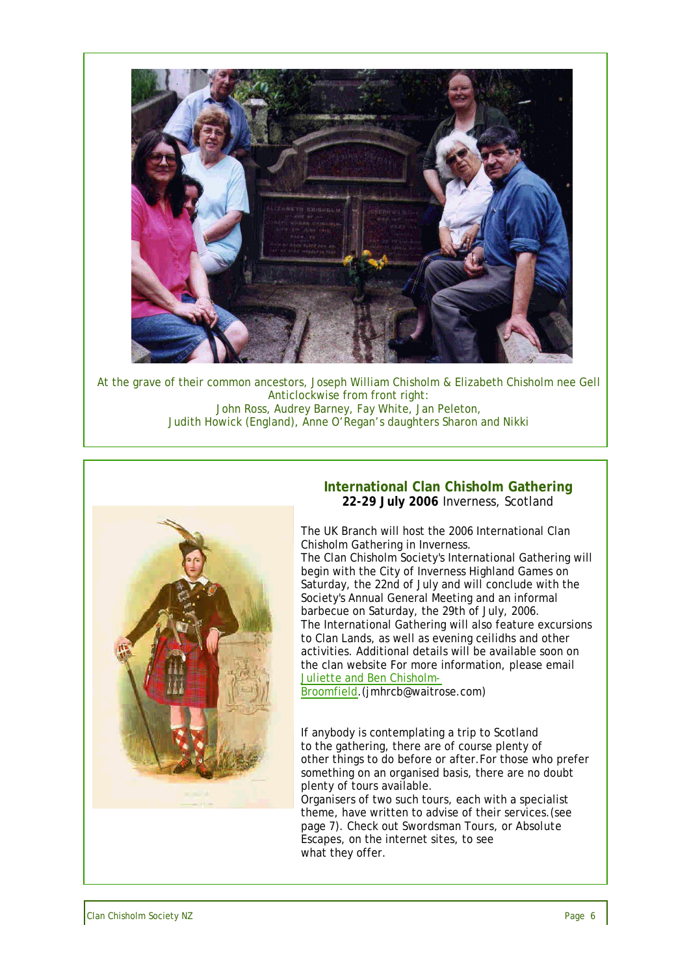

At the grave of their common ancestors, Joseph William Chisholm & Elizabeth Chisholm nee Gell Anticlockwise from front right: John Ross, Audrey Barney, Fay White, Jan Peleton, Judith Howick (England), Anne O'Regan's daughters Sharon and Nikki



### **International Clan Chisholm Gathering 22-29 July 2006** Inverness, Scotland

The UK Branch will host the 2006 International Clan Chisholm Gathering in Inverness.

The Clan Chisholm Society's International Gathering will begin with the City of Inverness Highland Games on Saturday, the 22nd of July and will conclude with the Society's Annual General Meeting and an informal barbecue on Saturday, the 29th of July, 2006. The International Gathering will also feature excursions to Clan Lands, as well as evening ceilidhs and other activities. Additional details will be available soon on the clan website For more information, please email Juliette and Ben Chisholm-

Broomfield.(jmhrcb@waitrose.com)

If anybody is contemplating a trip to Scotland to the gathering, there are of course plenty of other things to do before or after.For those who prefer something on an organised basis, there are no doubt plenty of tours available.

Organisers of two such tours, each with a specialist theme, have written to advise of their services.(see page 7). Check out *Swordsman Tours*, or *Absolute Escapes,* on the internet sites, to see what they offer.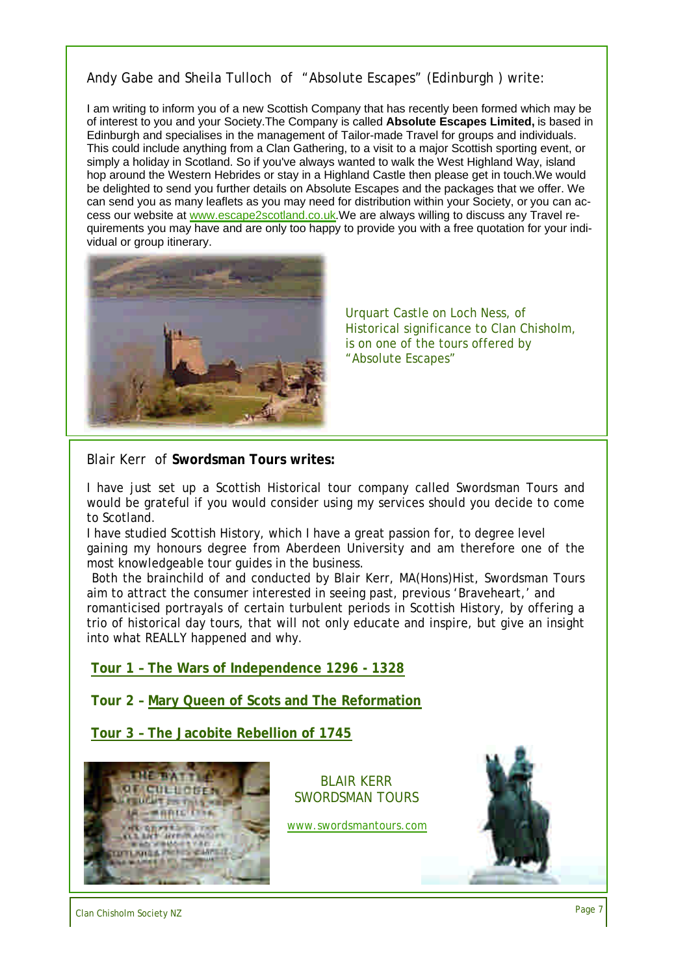### Andy Gabe and Sheila Tulloch of "Absolute Escapes" (Edinburgh ) write:

I am writing to inform you of a new Scottish Company that has recently been formed which may be of interest to you and your Society.The Company is called **Absolute Escapes Limited,** is based in Edinburgh and specialises in the management of Tailor-made Travel for groups and individuals. This could include anything from a Clan Gathering, to a visit to a major Scottish sporting event, or simply a holiday in Scotland. So if you've always wanted to walk the West Highland Way, island hop around the Western Hebrides or stay in a Highland Castle then please get in touch.We would be delighted to send you further details on Absolute Escapes and the packages that we offer. We can send you as many leaflets as you may need for distribution within your Society, or you can access our website at www.escape2scotland.co.uk.We are always willing to discuss any Travel requirements you may have and are only too happy to provide you with a free quotation for your individual or group itinerary.



Urquart Castle on Loch Ness, of Historical significance to Clan Chisholm, is on one of the tours offered by "Absolute Escapes"

Blair Kerr of **Swordsman Tours writes:**

I have just set up a Scottish Historical tour company called Swordsman Tours and would be grateful if you would consider using my services should you decide to come to Scotland.

I have studied Scottish History, which I have a great passion for, to degree level gaining my honours degree from Aberdeen University and am therefore one of the most knowledgeable tour guides in the business.

Both the brainchild of and conducted by Blair Kerr, MA(Hons)Hist, Swordsman Tours aim to attract the consumer interested in seeing past, previous 'Braveheart,' and romanticised portrayals of certain turbulent periods in Scottish History, by offering a trio of historical day tours, that will not only educate and inspire, but give an insight into what REALLY happened and why.

**Tour 1 – The Wars of Independence 1296 - 1328**

**Tour 2 – Mary Queen of Scots and The Reformation**

**Tour 3 – The Jacobite Rebellion of 1745**



BLAIR KERR SWORDSMAN TOURS

www.swordsmantours.com



Clan Chisholm Society NZ Page 7